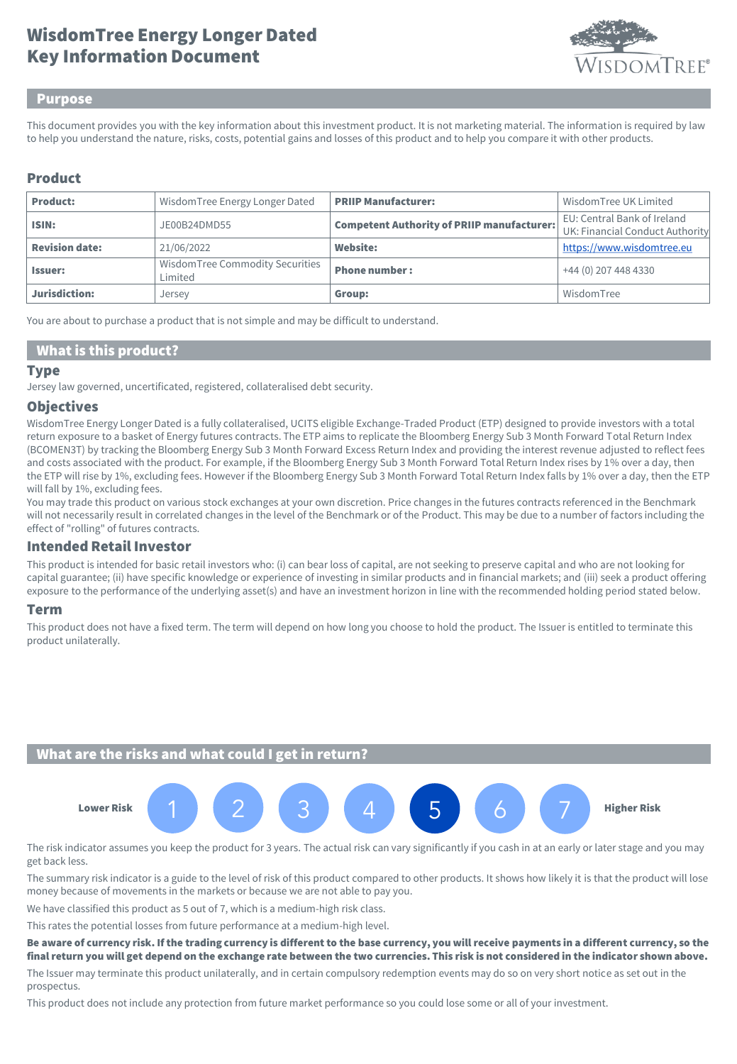# Key Information Document WisdomTree Energy Longer Dated



#### Purpose

This document provides you with the key information about this investment product. It is not marketing material. The information is required by law to help you understand the nature, risks, costs, potential gains and losses of this product and to help you compare it with other products.

### Product

| <b>Product:</b>       | Wisdom Tree Energy Longer Dated            | <b>PRIIP Manufacturer:</b>                        | Wisdom Tree UK Limited                                         |
|-----------------------|--------------------------------------------|---------------------------------------------------|----------------------------------------------------------------|
| ISIN:                 | JE00B24DMD55                               | <b>Competent Authority of PRIIP manufacturer:</b> | EU: Central Bank of Ireland<br>UK: Financial Conduct Authority |
| <b>Revision date:</b> | 21/06/2022                                 | <b>Website:</b>                                   | https://www.wisdomtree.eu                                      |
| <b>Issuer:</b>        | WisdomTree Commodity Securities<br>Limited | <b>Phone number:</b>                              | +44 (0) 207 448 4330                                           |
| Jurisdiction:         | Jersey                                     | Group:                                            | WisdomTree                                                     |

You are about to purchase a product that is not simple and may be difficult to understand.

#### What is this product?

#### **Type**

Jersey law governed, uncertificated, registered, collateralised debt security.

#### **Objectives**

WisdomTree Energy Longer Dated is a fully collateralised, UCITS eligible Exchange-Traded Product (ETP) designed to provide investors with a total return exposure to a basket of Energy futures contracts. The ETP aims to replicate the Bloomberg Energy Sub 3 Month Forward Total Return Index (BCOMEN3T) by tracking the Bloomberg Energy Sub 3 Month Forward Excess Return Index and providing the interest revenue adjusted to reflect fees and costs associated with the product. For example, if the Bloomberg Energy Sub 3 Month Forward Total Return Index rises by 1% over a day, then the ETP will rise by 1%, excluding fees. However if the Bloomberg Energy Sub 3 Month Forward Total Return Index falls by 1% over a day, then the ETP will fall by 1%, excluding fees.

You may trade this product on various stock exchanges at your own discretion. Price changes in the futures contracts referenced in the Benchmark will not necessarily result in correlated changes in the level of the Benchmark or of the Product. This may be due to a number of factors including the effect of "rolling" of futures contracts.

#### Intended Retail Investor

This product is intended for basic retail investors who: (i) can bear loss of capital, are not seeking to preserve capital and who are not looking for capital guarantee; (ii) have specific knowledge or experience of investing in similar products and in financial markets; and (iii) seek a product offering exposure to the performance of the underlying asset(s) and have an investment horizon in line with the recommended holding period stated below.

#### Term

This product does not have a fixed term. The term will depend on how long you choose to hold the product. The Issuer is entitled to terminate this product unilaterally.

## What are the risks and what could I get in return?



The risk indicator assumes you keep the product for 3 years. The actual risk can vary significantly if you cash in at an early or later stage and you may get back less.

The summary risk indicator is a guide to the level of risk of this product compared to other products. It shows how likely it is that the product will lose money because of movements in the markets or because we are not able to pay you.

We have classified this product as 5 out of 7, which is a medium-high risk class.

This rates the potential losses from future performance at a medium-high level.

Be aware of currency risk. If the trading currency is different to the base currency, you will receive payments in a different currency, so the final return you will get depend on the exchange rate between the two currencies. This risk is not considered in the indicator shown above.

The Issuer may terminate this product unilaterally, and in certain compulsory redemption events may do so on very short notice as set out in the prospectus.

This product does not include any protection from future market performance so you could lose some or all of your investment.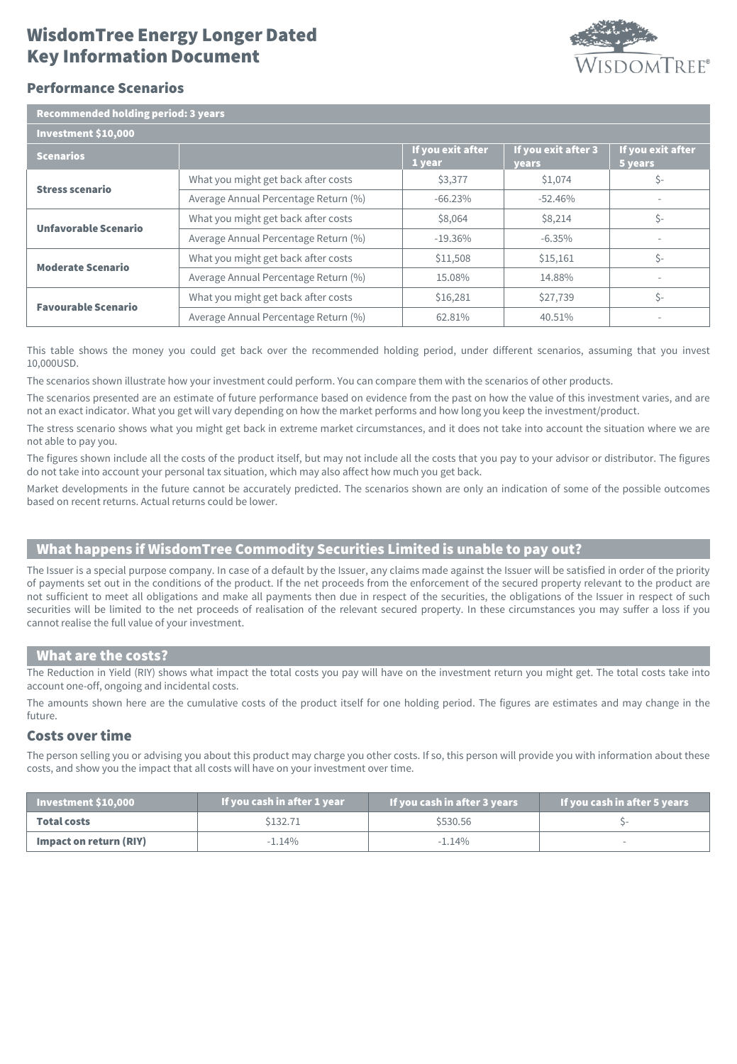# Key Information Document WisdomTree Energy Longer Dated



### Performance Scenarios

| <b>Recommended holding period: 3 years</b> |                                      |                             |                                     |                              |  |  |
|--------------------------------------------|--------------------------------------|-----------------------------|-------------------------------------|------------------------------|--|--|
| Investment \$10,000                        |                                      |                             |                                     |                              |  |  |
| <b>Scenarios</b>                           |                                      | If you exit after<br>1 year | If you exit after 3<br><b>years</b> | If you exit after<br>5 years |  |  |
| <b>Stress scenario</b>                     | What you might get back after costs  | \$3,377                     | \$1,074                             | \$-                          |  |  |
|                                            | Average Annual Percentage Return (%) | $-66.23%$                   | $-52.46%$                           | $\overline{\phantom{a}}$     |  |  |
| Unfavorable Scenario                       | What you might get back after costs  | \$8,064                     | \$8,214                             | \$-                          |  |  |
|                                            | Average Annual Percentage Return (%) | $-19.36\%$                  | $-6.35\%$                           |                              |  |  |
| <b>Moderate Scenario</b>                   | What you might get back after costs  | \$11,508                    | \$15,161                            | Ś-                           |  |  |
|                                            | Average Annual Percentage Return (%) | 15.08%                      | 14.88%                              |                              |  |  |
| <b>Favourable Scenario</b>                 | What you might get back after costs  | \$16,281                    | \$27,739                            | \$-                          |  |  |
|                                            | Average Annual Percentage Return (%) | 62.81%                      | 40.51%                              |                              |  |  |

This table shows the money you could get back over the recommended holding period, under different scenarios, assuming that you invest 10,000USD.

The scenarios shown illustrate how your investment could perform. You can compare them with the scenarios of other products.

The scenarios presented are an estimate of future performance based on evidence from the past on how the value of this investment varies, and are not an exact indicator. What you get will vary depending on how the market performs and how long you keep the investment/product.

The stress scenario shows what you might get back in extreme market circumstances, and it does not take into account the situation where we are not able to pay you.

The figures shown include all the costs of the product itself, but may not include all the costs that you pay to your advisor or distributor. The figures do not take into account your personal tax situation, which may also affect how much you get back.

Market developments in the future cannot be accurately predicted. The scenarios shown are only an indication of some of the possible outcomes based on recent returns. Actual returns could be lower.

# What happens if WisdomTree Commodity Securities Limited is unable to pay out?

The Issuer is a special purpose company. In case of a default by the Issuer, any claims made against the Issuer will be satisfied in order of the priority of payments set out in the conditions of the product. If the net proceeds from the enforcement of the secured property relevant to the product are not sufficient to meet all obligations and make all payments then due in respect of the securities, the obligations of the Issuer in respect of such securities will be limited to the net proceeds of realisation of the relevant secured property. In these circumstances you may suffer a loss if you cannot realise the full value of your investment.

#### What are the costs?

The Reduction in Yield (RIY) shows what impact the total costs you pay will have on the investment return you might get. The total costs take into account one-off, ongoing and incidental costs.

The amounts shown here are the cumulative costs of the product itself for one holding period. The figures are estimates and may change in the future.

### Costs over time

The person selling you or advising you about this product may charge you other costs. If so, this person will provide you with information about these costs, and show you the impact that all costs will have on your investment over time.

| $\blacksquare$ Investment \$10,000 | If you cash in after 1 year | If you cash in after 3 years | If you cash in after 5 years |
|------------------------------------|-----------------------------|------------------------------|------------------------------|
| <b>Total costs</b>                 | \$132.71                    | \$530.56                     |                              |
| Impact on return (RIY)             | $-1.14\%$                   | $-1.14\%$                    |                              |